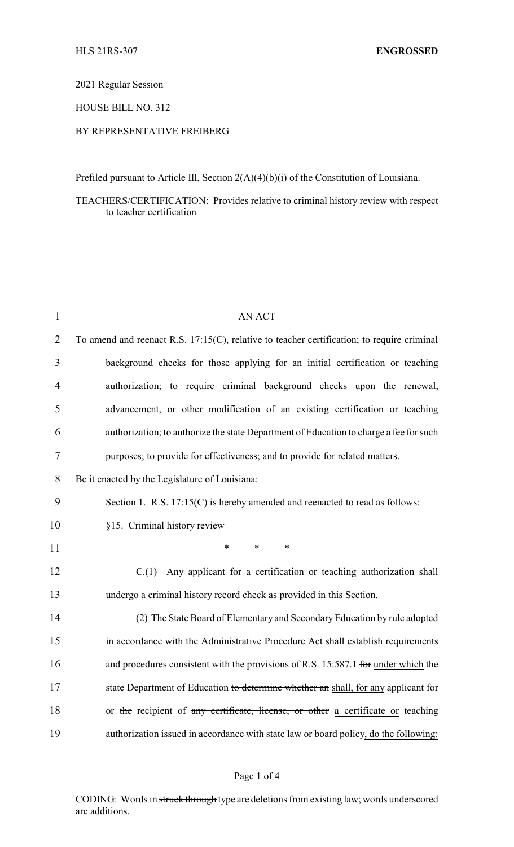2021 Regular Session

HOUSE BILL NO. 312

## BY REPRESENTATIVE FREIBERG

Prefiled pursuant to Article III, Section 2(A)(4)(b)(i) of the Constitution of Louisiana.

## TEACHERS/CERTIFICATION: Provides relative to criminal history review with respect to teacher certification

| $\mathbf{1}$   | <b>AN ACT</b>                                                                                 |
|----------------|-----------------------------------------------------------------------------------------------|
| $\overline{2}$ | To amend and reenact R.S. $17:15(C)$ , relative to teacher certification; to require criminal |
| 3              | background checks for those applying for an initial certification or teaching                 |
| 4              | authorization; to require criminal background checks upon the renewal,                        |
| 5              | advancement, or other modification of an existing certification or teaching                   |
| 6              | authorization; to authorize the state Department of Education to charge a fee for such        |
| 7              | purposes; to provide for effectiveness; and to provide for related matters.                   |
| 8              | Be it enacted by the Legislature of Louisiana:                                                |
| 9              | Section 1. R.S. $17:15(C)$ is hereby amended and reenacted to read as follows:                |
| 10             | §15. Criminal history review                                                                  |
| 11             | *<br>$\ast$<br>$\ast$                                                                         |
| 12             | C.(1) Any applicant for a certification or teaching authorization shall                       |
| 13             | undergo a criminal history record check as provided in this Section.                          |
| 14             | (2) The State Board of Elementary and Secondary Education by rule adopted                     |
| 15             | in accordance with the Administrative Procedure Act shall establish requirements              |
| 16             | and procedures consistent with the provisions of R.S. 15:587.1 for under which the            |
| 17             | state Department of Education to determine whether an shall, for any applicant for            |
| 18             | or the recipient of any certificate, license, or other a certificate or teaching              |
| 19             | authorization issued in accordance with state law or board policy, do the following:          |

### Page 1 of 4

CODING: Words in struck through type are deletions from existing law; words underscored are additions.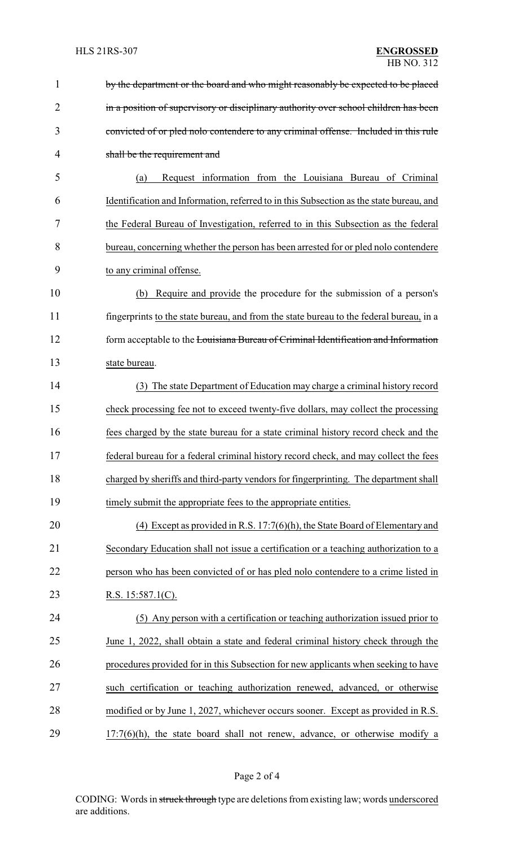| 1              | by the department or the board and who might reasonably be expected to be placed        |
|----------------|-----------------------------------------------------------------------------------------|
| $\overline{c}$ | in a position of supervisory or disciplinary authority over school children has been    |
| 3              | convicted of or pled nolo contendere to any criminal offense. Included in this rule     |
| $\overline{4}$ | shall be the requirement and                                                            |
| 5              | Request information from the Louisiana Bureau of Criminal<br>(a)                        |
| 6              | Identification and Information, referred to in this Subsection as the state bureau, and |
| 7              | the Federal Bureau of Investigation, referred to in this Subsection as the federal      |
| 8              | bureau, concerning whether the person has been arrested for or pled nolo contendere     |
| 9              | to any criminal offense.                                                                |
| 10             | Require and provide the procedure for the submission of a person's<br>(b)               |
| 11             | fingerprints to the state bureau, and from the state bureau to the federal bureau, in a |
| 12             | form acceptable to the Louisiana Bureau of Criminal Identification and Information      |
| 13             | state bureau.                                                                           |
| 14             | (3) The state Department of Education may charge a criminal history record              |
| 15             | check processing fee not to exceed twenty-five dollars, may collect the processing      |
| 16             | fees charged by the state bureau for a state criminal history record check and the      |
| 17             | federal bureau for a federal criminal history record check, and may collect the fees    |
| 18             | charged by sheriffs and third-party vendors for fingerprinting. The department shall    |
| 19             | timely submit the appropriate fees to the appropriate entities.                         |
| 20             | (4) Except as provided in R.S. $17:7(6)(h)$ , the State Board of Elementary and         |
| 21             | Secondary Education shall not issue a certification or a teaching authorization to a    |
| 22             | person who has been convicted of or has pled not contendere to a crime listed in        |
| 23             | R.S. $15:587.1(C)$ .                                                                    |
| 24             | (5) Any person with a certification or teaching authorization issued prior to           |
| 25             | June 1, 2022, shall obtain a state and federal criminal history check through the       |
| 26             | procedures provided for in this Subsection for new applicants when seeking to have      |
| 27             | such certification or teaching authorization renewed, advanced, or otherwise            |
| 28             | modified or by June 1, 2027, whichever occurs sooner. Except as provided in R.S.        |
| 29             | $17:7(6)(h)$ , the state board shall not renew, advance, or otherwise modify a          |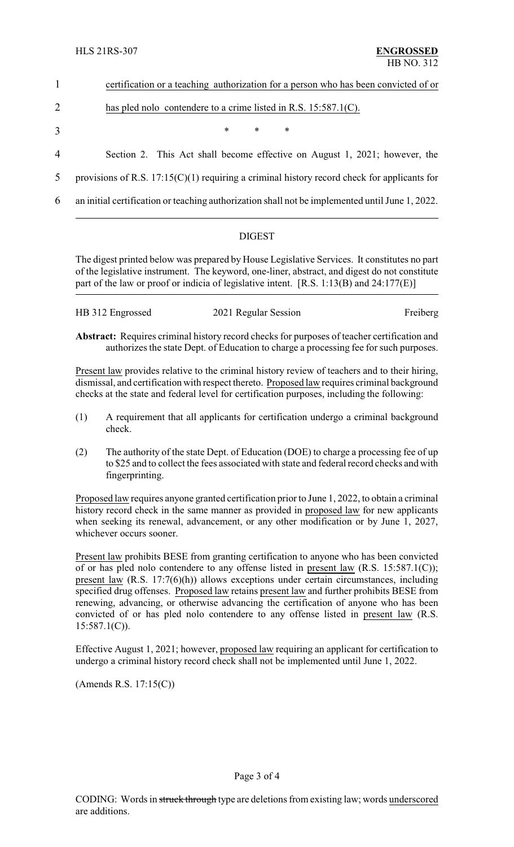# 2 has pled nolo contendere to a crime listed in R.S. 15:587.1(C).

- $3$  \* \* \*
- 4 Section 2. This Act shall become effective on August 1, 2021; however, the
- 5 provisions of R.S. 17:15(C)(1) requiring a criminal history record check for applicants for
- 6 an initial certification or teaching authorization shall not be implemented until June 1, 2022.

## DIGEST

The digest printed below was prepared by House Legislative Services. It constitutes no part of the legislative instrument. The keyword, one-liner, abstract, and digest do not constitute part of the law or proof or indicia of legislative intent. [R.S. 1:13(B) and 24:177(E)]

| HB 312 Engrossed | 2021 Regular Session | Freiberg |
|------------------|----------------------|----------|
|                  |                      |          |

**Abstract:** Requires criminal history record checks for purposes of teacher certification and authorizes the state Dept. of Education to charge a processing fee for such purposes.

Present law provides relative to the criminal history review of teachers and to their hiring, dismissal, and certification with respect thereto. Proposed law requires criminal background checks at the state and federal level for certification purposes, including the following:

- (1) A requirement that all applicants for certification undergo a criminal background check.
- (2) The authority of the state Dept. of Education (DOE) to charge a processing fee of up to \$25 and to collect the fees associated with state and federal record checks and with fingerprinting.

Proposed law requires anyone granted certification prior to June 1, 2022, to obtain a criminal history record check in the same manner as provided in proposed law for new applicants when seeking its renewal, advancement, or any other modification or by June 1, 2027, whichever occurs sooner.

Present law prohibits BESE from granting certification to anyone who has been convicted of or has pled nolo contendere to any offense listed in present law (R.S. 15:587.1(C)); present law (R.S. 17:7(6)(h)) allows exceptions under certain circumstances, including specified drug offenses. Proposed law retains present law and further prohibits BESE from renewing, advancing, or otherwise advancing the certification of anyone who has been convicted of or has pled nolo contendere to any offense listed in present law (R.S.  $15:587.1(C)$ ).

Effective August 1, 2021; however, proposed law requiring an applicant for certification to undergo a criminal history record check shall not be implemented until June 1, 2022.

(Amends R.S. 17:15(C))